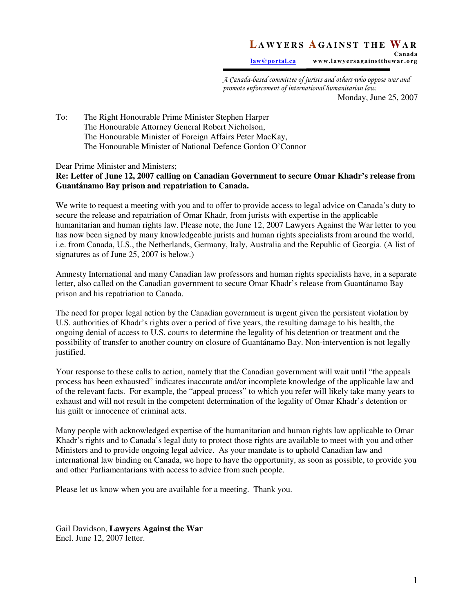## **L A W Y E R S A G A I N S T T H E WA R Canada**

law@portal.ca www.lawyersagainstthewar.org

A Canada-based committee of jurists and others who oppose war and promote enforcement of international humanitarian law. Monday, June 25, 2007

To: The Right Honourable Prime Minister Stephen Harper The Honourable Attorney General Robert Nicholson, The Honourable Minister of Foreign Affairs Peter MacKay, The Honourable Minister of National Defence Gordon O'Connor

Dear Prime Minister and Ministers;

## **Re: Letter of June 12, 2007 calling on Canadian Government to secure Omar Khadr's release from Guantánamo Bay prison and repatriation to Canada.**

We write to request a meeting with you and to offer to provide access to legal advice on Canada's duty to secure the release and repatriation of Omar Khadr, from jurists with expertise in the applicable humanitarian and human rights law. Please note, the June 12, 2007 Lawyers Against the War letter to you has now been signed by many knowledgeable jurists and human rights specialists from around the world, i.e. from Canada, U.S., the Netherlands, Germany, Italy, Australia and the Republic of Georgia. (A list of signatures as of June 25, 2007 is below.)

Amnesty International and many Canadian law professors and human rights specialists have, in a separate letter, also called on the Canadian government to secure Omar Khadr's release from Guantánamo Bay prison and his repatriation to Canada.

The need for proper legal action by the Canadian government is urgent given the persistent violation by U.S. authorities of Khadr's rights over a period of five years, the resulting damage to his health, the ongoing denial of access to U.S. courts to determine the legality of his detention or treatment and the possibility of transfer to another country on closure of Guantánamo Bay. Non-intervention is not legally justified.

Your response to these calls to action, namely that the Canadian government will wait until "the appeals process has been exhausted" indicates inaccurate and/or incomplete knowledge of the applicable law and of the relevant facts. For example, the "appeal process" to which you refer will likely take many years to exhaust and will not result in the competent determination of the legality of Omar Khadr's detention or his guilt or innocence of criminal acts.

Many people with acknowledged expertise of the humanitarian and human rights law applicable to Omar Khadr's rights and to Canada's legal duty to protect those rights are available to meet with you and other Ministers and to provide ongoing legal advice. As your mandate is to uphold Canadian law and international law binding on Canada, we hope to have the opportunity, as soon as possible, to provide you and other Parliamentarians with access to advice from such people.

Please let us know when you are available for a meeting. Thank you.

Gail Davidson, **Lawyers Against the War**  Encl. June 12, 2007 letter.